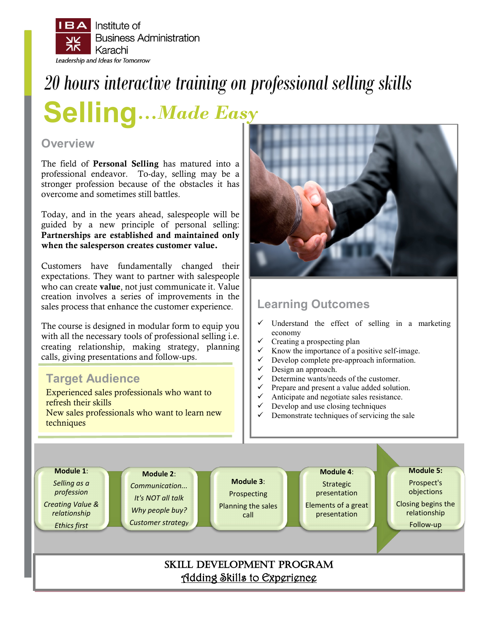

# *20 hours interactive training on professional selling skills*

**Selling…***Made Easy*

### **Overview**

The field of Personal Selling has matured into a professional endeavor. To-day, selling may be a stronger profession because of the obstacles it has overcome and sometimes still battles.

Today, and in the years ahead, salespeople will be guided by a new principle of personal selling: Partnerships are established and maintained only when the salesperson creates customer value.

Customers have fundamentally changed their expectations. They want to partner with salespeople who can create value, not just communicate it. Value creation involves a series of improvements in the sales process that enhance the customer experience.

The course is designed in modular form to equip you with all the necessary tools of professional selling i.e. creating relationship, making strategy, planning calls, giving presentations and follow-ups.

## **Target Audience**

Experienced sales professionals who want to refresh their skills New sales professionals who want to learn new techniques



## **Learning Outcomes**

- $\checkmark$  Understand the effect of selling in a marketing economy
- Creating a prospecting plan
- $\checkmark$  Know the importance of a positive self-image.
- Develop complete pre-approach information.
- Design an approach.
- Determine wants/needs of the customer.
- Prepare and present a value added solution.
- Anticipate and negotiate sales resistance.
- $\checkmark$  Develop and use closing techniques  $\checkmark$  Demonstrate techniques of servicing
- Demonstrate techniques of servicing the sale

**Module 1**: *Selling as a profession Creating Value & relationship Ethics first* **Module 2**: *Communication... It's NOT all talk Why people buy? Customer strategy* **Module 3**: Prospecting Planning the sales call **Module 4**: Strategic presentation Elements of a great presentation **Module 5:** Prospect's objections Closing begins the relationship Follow-up SKILL DEVELOPMENT PROGRAM Adding Skills to Experience